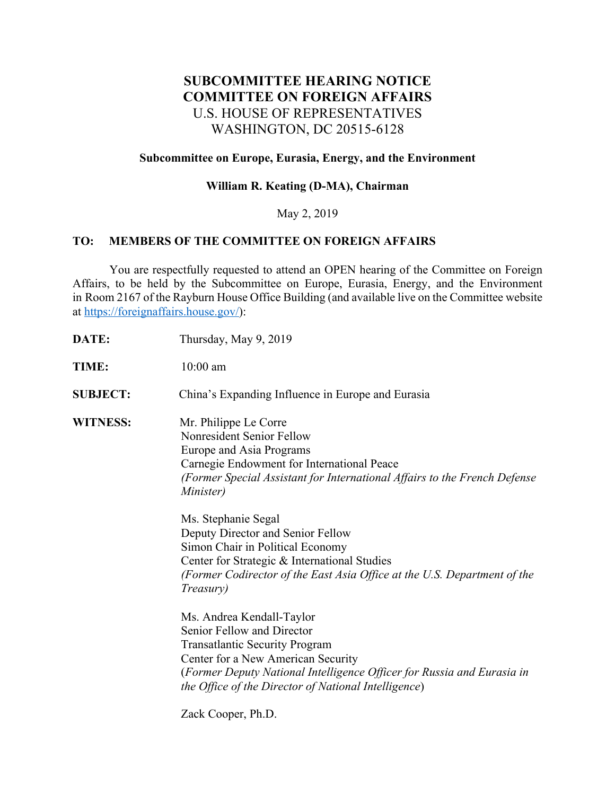# **SUBCOMMITTEE HEARING NOTICE COMMITTEE ON FOREIGN AFFAIRS** U.S. HOUSE OF REPRESENTATIVES WASHINGTON, DC 20515-6128

#### **Subcommittee on Europe, Eurasia, Energy, and the Environment**

# **William R. Keating (D-MA), Chairman**

## May 2, 2019

## **TO: MEMBERS OF THE COMMITTEE ON FOREIGN AFFAIRS**

 You are respectfully requested to attend an OPEN hearing of the Committee on Foreign Affairs, to be held by the Subcommittee on Europe, Eurasia, Energy, and the Environment in Room 2167 of the Rayburn House Office Building (and available live on the Committee website at https://foreignaffairs.house.gov/):

- **DATE:** Thursday, May 9, 2019
- **TIME:** 10:00 am

**SUBJECT:** China's Expanding Influence in Europe and Eurasia

**WITNESS:** Mr. Philippe Le Corre Nonresident Senior Fellow Europe and Asia Programs Carnegie Endowment for International Peace *(Former Special Assistant for International Affairs to the French Defense Minister)*

> Ms. Stephanie Segal Deputy Director and Senior Fellow Simon Chair in Political Economy Center for Strategic & International Studies *(Former Codirector of the East Asia Office at the U.S. Department of the Treasury)*

Ms. Andrea Kendall-Taylor Senior Fellow and Director Transatlantic Security Program Center for a New American Security (*Former Deputy National Intelligence Officer for Russia and Eurasia in the Office of the Director of National Intelligence*)

Zack Cooper, Ph.D.